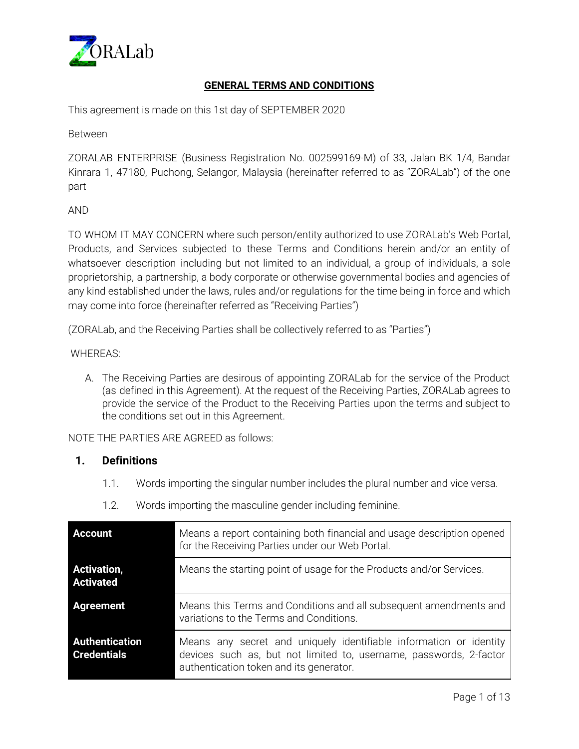

# **GENERAL TERMS AND CONDITIONS**

This agreement is made on this 1st day of SEPTEMBER 2020

Between

ZORALAB ENTERPRISE (Business Registration No. 002599169-M) of 33, Jalan BK 1/4, Bandar Kinrara 1, 47180, Puchong, Selangor, Malaysia (hereinafter referred to as "ZORALab") of the one part

#### AND

TO WHOM IT MAY CONCERN where such person/entity authorized to use ZORALab's Web Portal, Products, and Services subjected to these Terms and Conditions herein and/or an entity of whatsoever description including but not limited to an individual, a group of individuals, a sole proprietorship, a partnership, a body corporate or otherwise governmental bodies and agencies of any kind established under the laws, rules and/or regulations for the time being in force and which may come into force (hereinafter referred as "Receiving Parties")

(ZORALab, and the Receiving Parties shall be collectively referred to as "Parties")

#### WHEREAS:

A. The Receiving Parties are desirous of appointing ZORALab for the service of the Product (as defined in this Agreement). At the request of the Receiving Parties, ZORALab agrees to provide the service of the Product to the Receiving Parties upon the terms and subject to the conditions set out in this Agreement.

NOTE THE PARTIES ARE AGREED as follows:

## **1. Definitions**

- 1.1. Words importing the singular number includes the plural number and vice versa.
- 1.2. Words importing the masculine gender including feminine.

| <b>Account</b>                         | Means a report containing both financial and usage description opened<br>for the Receiving Parties under our Web Portal.                                                            |
|----------------------------------------|-------------------------------------------------------------------------------------------------------------------------------------------------------------------------------------|
| <b>Activation,</b><br><b>Activated</b> | Means the starting point of usage for the Products and/or Services.                                                                                                                 |
| <b>Agreement</b>                       | Means this Terms and Conditions and all subsequent amendments and<br>variations to the Terms and Conditions.                                                                        |
| Authentication<br><b>Credentials</b>   | Means any secret and uniquely identifiable information or identity<br>devices such as, but not limited to, username, passwords, 2-factor<br>authentication token and its generator. |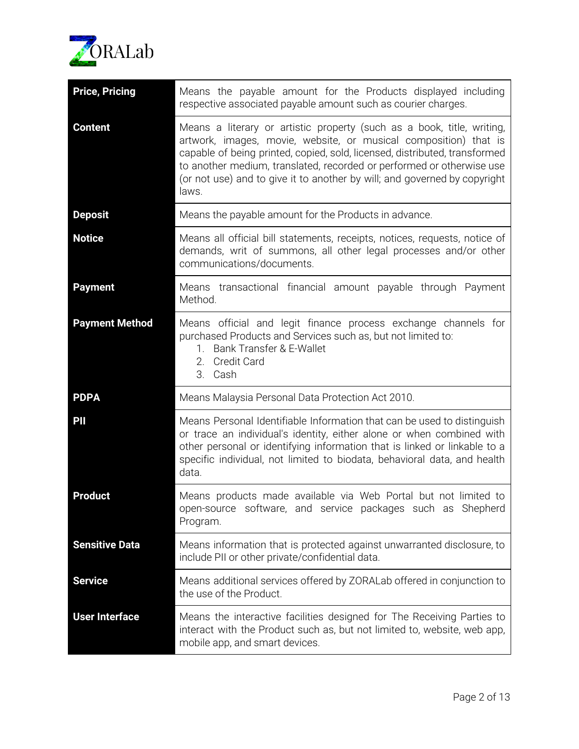

| <b>Price, Pricing</b> | Means the payable amount for the Products displayed including<br>respective associated payable amount such as courier charges.                                                                                                                                                                                                                                                          |
|-----------------------|-----------------------------------------------------------------------------------------------------------------------------------------------------------------------------------------------------------------------------------------------------------------------------------------------------------------------------------------------------------------------------------------|
| <b>Content</b>        | Means a literary or artistic property (such as a book, title, writing,<br>artwork, images, movie, website, or musical composition) that is<br>capable of being printed, copied, sold, licensed, distributed, transformed<br>to another medium, translated, recorded or performed or otherwise use<br>(or not use) and to give it to another by will; and governed by copyright<br>laws. |
| <b>Deposit</b>        | Means the payable amount for the Products in advance.                                                                                                                                                                                                                                                                                                                                   |
| <b>Notice</b>         | Means all official bill statements, receipts, notices, requests, notice of<br>demands, writ of summons, all other legal processes and/or other<br>communications/documents.                                                                                                                                                                                                             |
| <b>Payment</b>        | Means transactional financial amount payable through Payment<br>Method.                                                                                                                                                                                                                                                                                                                 |
| <b>Payment Method</b> | Means official and legit finance process exchange channels for<br>purchased Products and Services such as, but not limited to:<br>1. Bank Transfer & E-Wallet<br><b>Credit Card</b><br>2.<br>3. Cash                                                                                                                                                                                    |
| <b>PDPA</b>           | Means Malaysia Personal Data Protection Act 2010.                                                                                                                                                                                                                                                                                                                                       |
| PII                   | Means Personal Identifiable Information that can be used to distinguish<br>or trace an individual's identity, either alone or when combined with<br>other personal or identifying information that is linked or linkable to a<br>specific individual, not limited to biodata, behavioral data, and health<br>data.                                                                      |
| <b>Product</b>        | Means products made available via Web Portal but not limited to<br>open-source software, and service packages such as Shepherd<br>Program.                                                                                                                                                                                                                                              |
| <b>Sensitive Data</b> | Means information that is protected against unwarranted disclosure, to<br>include PII or other private/confidential data.                                                                                                                                                                                                                                                               |
| <b>Service</b>        | Means additional services offered by ZORALab offered in conjunction to<br>the use of the Product.                                                                                                                                                                                                                                                                                       |
| <b>User Interface</b> | Means the interactive facilities designed for The Receiving Parties to<br>interact with the Product such as, but not limited to, website, web app,<br>mobile app, and smart devices.                                                                                                                                                                                                    |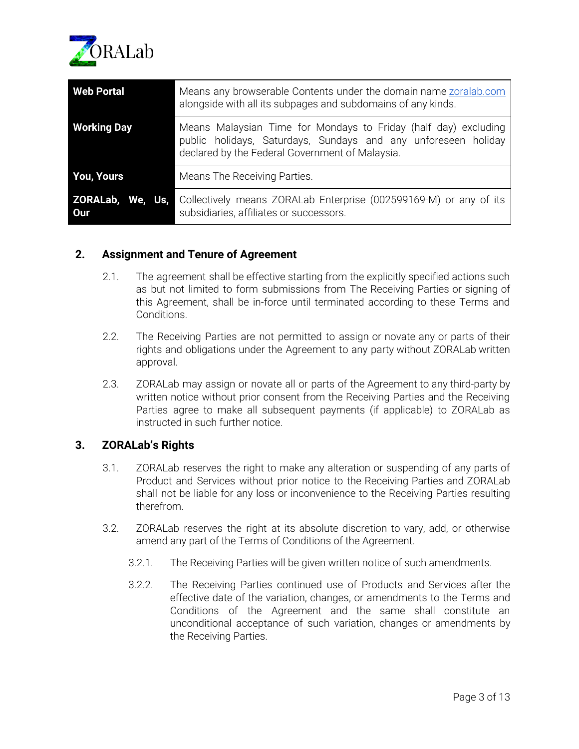

| <b>Web Portal</b>                 | Means any browserable Contents under the domain name zoralab.com<br>alongside with all its subpages and subdomains of any kinds.                                                     |
|-----------------------------------|--------------------------------------------------------------------------------------------------------------------------------------------------------------------------------------|
| <b>Working Day</b>                | Means Malaysian Time for Mondays to Friday (half day) excluding<br>public holidays, Saturdays, Sundays and any unforeseen holiday<br>declared by the Federal Government of Malaysia. |
| <b>You, Yours</b>                 | Means The Receiving Parties.                                                                                                                                                         |
| ZORALab,<br>We, Us,<br><b>Our</b> | Collectively means ZORALab Enterprise (002599169-M) or any of its<br>subsidiaries, affiliates or successors.                                                                         |

# **2. Assignment and Tenure of Agreement**

- 2.1. The agreement shall be effective starting from the explicitly specified actions such as but not limited to form submissions from The Receiving Parties or signing of this Agreement, shall be in-force until terminated according to these Terms and Conditions.
- 2.2. The Receiving Parties are not permitted to assign or novate any or parts of their rights and obligations under the Agreement to any party without ZORALab written approval.
- 2.3. ZORALab may assign or novate all or parts of the Agreement to any third-party by written notice without prior consent from the Receiving Parties and the Receiving Parties agree to make all subsequent payments (if applicable) to ZORALab as instructed in such further notice.

# **3. ZORALab's Rights**

- 3.1. ZORALab reserves the right to make any alteration or suspending of any parts of Product and Services without prior notice to the Receiving Parties and ZORALab shall not be liable for any loss or inconvenience to the Receiving Parties resulting therefrom.
- 3.2. ZORALab reserves the right at its absolute discretion to vary, add, or otherwise amend any part of the Terms of Conditions of the Agreement.
	- 3.2.1. The Receiving Parties will be given written notice of such amendments.
	- 3.2.2. The Receiving Parties continued use of Products and Services after the effective date of the variation, changes, or amendments to the Terms and Conditions of the Agreement and the same shall constitute an unconditional acceptance of such variation, changes or amendments by the Receiving Parties.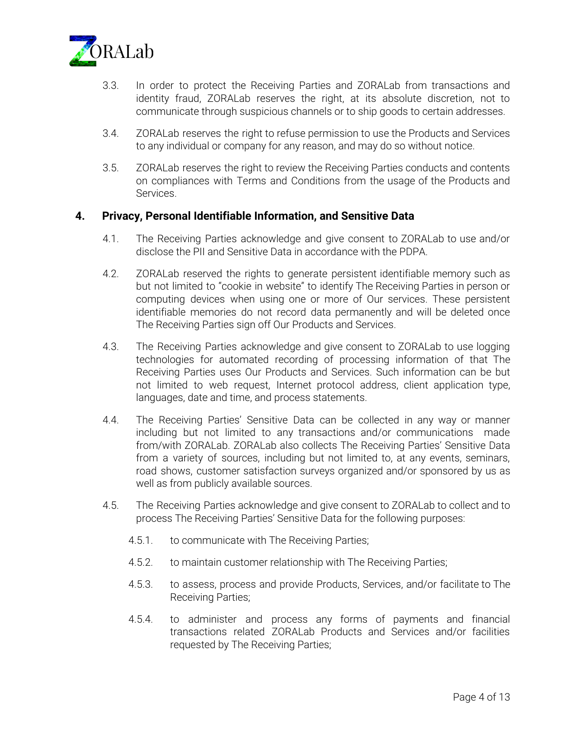

- 3.3. In order to protect the Receiving Parties and ZORALab from transactions and identity fraud, ZORALab reserves the right, at its absolute discretion, not to communicate through suspicious channels or to ship goods to certain addresses.
- 3.4. ZORALab reserves the right to refuse permission to use the Products and Services to any individual or company for any reason, and may do so without notice.
- 3.5. ZORALab reserves the right to review the Receiving Parties conducts and contents on compliances with Terms and Conditions from the usage of the Products and Services.

## **4. Privacy, Personal Identifiable Information, and Sensitive Data**

- 4.1. The Receiving Parties acknowledge and give consent to ZORALab to use and/or disclose the PII and Sensitive Data in accordance with the PDPA.
- 4.2. ZORALab reserved the rights to generate persistent identifiable memory such as but not limited to "cookie in website" to identify The Receiving Parties in person or computing devices when using one or more of Our services. These persistent identifiable memories do not record data permanently and will be deleted once The Receiving Parties sign off Our Products and Services.
- 4.3. The Receiving Parties acknowledge and give consent to ZORALab to use logging technologies for automated recording of processing information of that The Receiving Parties uses Our Products and Services. Such information can be but not limited to web request, Internet protocol address, client application type, languages, date and time, and process statements.
- 4.4. The Receiving Parties' Sensitive Data can be collected in any way or manner including but not limited to any transactions and/or communications made from/with ZORALab. ZORALab also collects The Receiving Parties' Sensitive Data from a variety of sources, including but not limited to, at any events, seminars, road shows, customer satisfaction surveys organized and/or sponsored by us as well as from publicly available sources.
- 4.5. The Receiving Parties acknowledge and give consent to ZORALab to collect and to process The Receiving Parties' Sensitive Data for the following purposes:
	- 4.5.1. to communicate with The Receiving Parties;
	- 4.5.2. to maintain customer relationship with The Receiving Parties;
	- 4.5.3. to assess, process and provide Products, Services, and/or facilitate to The Receiving Parties;
	- 4.5.4. to administer and process any forms of payments and financial transactions related ZORALab Products and Services and/or facilities requested by The Receiving Parties;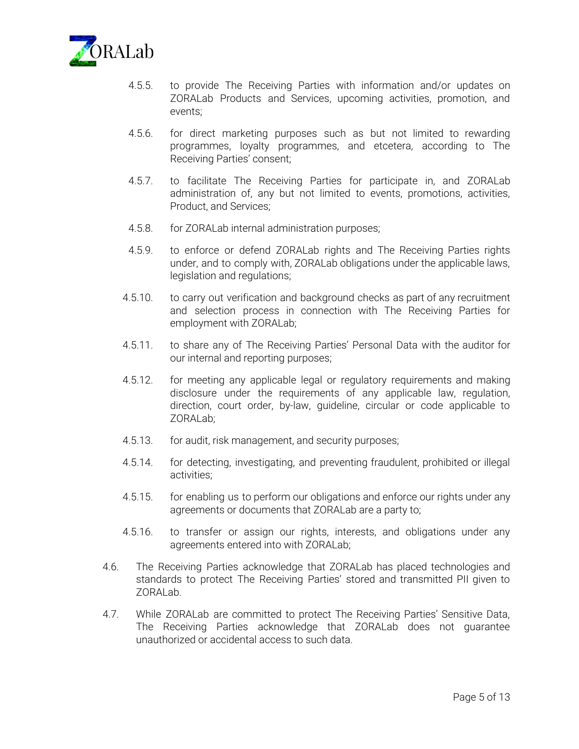

- 4.5.5. to provide The Receiving Parties with information and/or updates on ZORALab Products and Services, upcoming activities, promotion, and events;
- 4.5.6. for direct marketing purposes such as but not limited to rewarding programmes, loyalty programmes, and etcetera, according to The Receiving Parties' consent;
- 4.5.7. to facilitate The Receiving Parties for participate in, and ZORALab administration of, any but not limited to events, promotions, activities, Product, and Services;
- 4.5.8. for ZORALab internal administration purposes;
- 4.5.9. to enforce or defend ZORALab rights and The Receiving Parties rights under, and to comply with, ZORALab obligations under the applicable laws, legislation and regulations;
- 4.5.10. to carry out verification and background checks as part of any recruitment and selection process in connection with The Receiving Parties for employment with ZORALab;
- 4.5.11. to share any of The Receiving Parties' Personal Data with the auditor for our internal and reporting purposes;
- 4.5.12. for meeting any applicable legal or regulatory requirements and making disclosure under the requirements of any applicable law, regulation, direction, court order, by-law, guideline, circular or code applicable to ZORALab;
- 4.5.13. for audit, risk management, and security purposes;
- 4.5.14. for detecting, investigating, and preventing fraudulent, prohibited or illegal activities;
- 4.5.15. for enabling us to perform our obligations and enforce our rights under any agreements or documents that ZORALab are a party to;
- 4.5.16. to transfer or assign our rights, interests, and obligations under any agreements entered into with ZORALab;
- 4.6. The Receiving Parties acknowledge that ZORALab has placed technologies and standards to protect The Receiving Parties' stored and transmitted PII given to ZORALab.
- 4.7. While ZORALab are committed to protect The Receiving Parties' Sensitive Data, The Receiving Parties acknowledge that ZORALab does not guarantee unauthorized or accidental access to such data.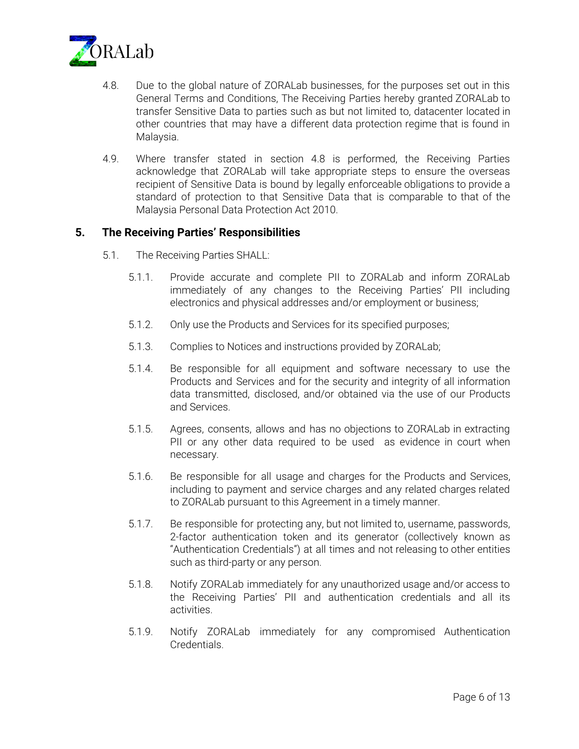

- 4.8. Due to the global nature of ZORALab businesses, for the purposes set out in this General Terms and Conditions, The Receiving Parties hereby granted ZORALab to transfer Sensitive Data to parties such as but not limited to, datacenter located in other countries that may have a different data protection regime that is found in Malaysia.
- 4.9. Where transfer stated in section 4.8 is performed, the Receiving Parties acknowledge that ZORALab will take appropriate steps to ensure the overseas recipient of Sensitive Data is bound by legally enforceable obligations to provide a standard of protection to that Sensitive Data that is comparable to that of the Malaysia Personal Data Protection Act 2010.

## **5. The Receiving Parties' Responsibilities**

- 5.1. The Receiving Parties SHALL:
	- 5.1.1. Provide accurate and complete PII to ZORALab and inform ZORALab immediately of any changes to the Receiving Parties' PII including electronics and physical addresses and/or employment or business;
	- 5.1.2. Only use the Products and Services for its specified purposes;
	- 5.1.3. Complies to Notices and instructions provided by ZORALab;
	- 5.1.4. Be responsible for all equipment and software necessary to use the Products and Services and for the security and integrity of all information data transmitted, disclosed, and/or obtained via the use of our Products and Services.
	- 5.1.5. Agrees, consents, allows and has no objections to ZORALab in extracting PII or any other data required to be used as evidence in court when necessary.
	- 5.1.6. Be responsible for all usage and charges for the Products and Services, including to payment and service charges and any related charges related to ZORALab pursuant to this Agreement in a timely manner.
	- 5.1.7. Be responsible for protecting any, but not limited to, username, passwords, 2-factor authentication token and its generator (collectively known as "Authentication Credentials") at all times and not releasing to other entities such as third-party or any person.
	- 5.1.8. Notify ZORALab immediately for any unauthorized usage and/or access to the Receiving Parties' PII and authentication credentials and all its activities.
	- 5.1.9. Notify ZORALab immediately for any compromised Authentication Credentials.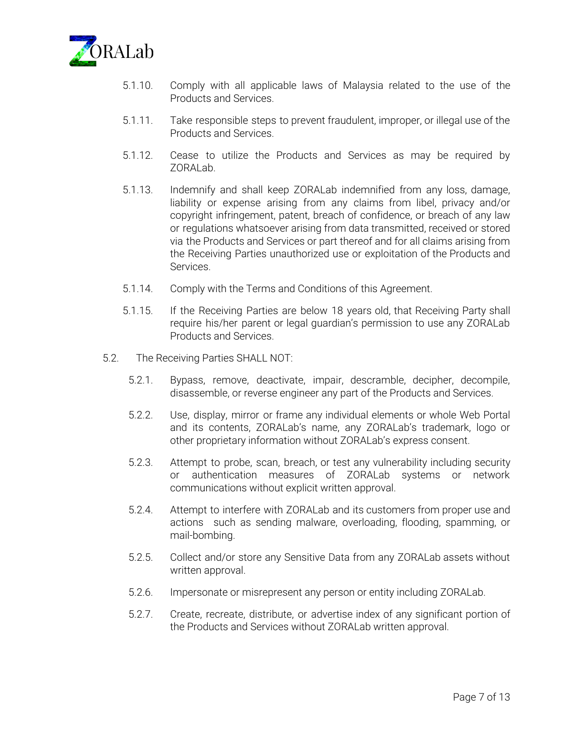

- 5.1.10. Comply with all applicable laws of Malaysia related to the use of the Products and Services.
- 5.1.11. Take responsible steps to prevent fraudulent, improper, or illegal use of the Products and Services.
- 5.1.12. Cease to utilize the Products and Services as may be required by ZORALab.
- 5.1.13. Indemnify and shall keep ZORALab indemnified from any loss, damage, liability or expense arising from any claims from libel, privacy and/or copyright infringement, patent, breach of confidence, or breach of any law or regulations whatsoever arising from data transmitted, received or stored via the Products and Services or part thereof and for all claims arising from the Receiving Parties unauthorized use or exploitation of the Products and Services.
- 5.1.14. Comply with the Terms and Conditions of this Agreement.
- 5.1.15. If the Receiving Parties are below 18 years old, that Receiving Party shall require his/her parent or legal guardian's permission to use any ZORALab Products and Services.
- 5.2. The Receiving Parties SHALL NOT:
	- 5.2.1. Bypass, remove, deactivate, impair, descramble, decipher, decompile, disassemble, or reverse engineer any part of the Products and Services.
	- 5.2.2. Use, display, mirror or frame any individual elements or whole Web Portal and its contents, ZORALab's name, any ZORALab's trademark, logo or other proprietary information without ZORALab's express consent.
	- 5.2.3. Attempt to probe, scan, breach, or test any vulnerability including security or authentication measures of ZORALab systems or network communications without explicit written approval.
	- 5.2.4. Attempt to interfere with ZORALab and its customers from proper use and actions such as sending malware, overloading, flooding, spamming, or mail-bombing.
	- 5.2.5. Collect and/or store any Sensitive Data from any ZORALab assets without written approval.
	- 5.2.6. Impersonate or misrepresent any person or entity including ZORALab.
	- 5.2.7. Create, recreate, distribute, or advertise index of any significant portion of the Products and Services without ZORALab written approval.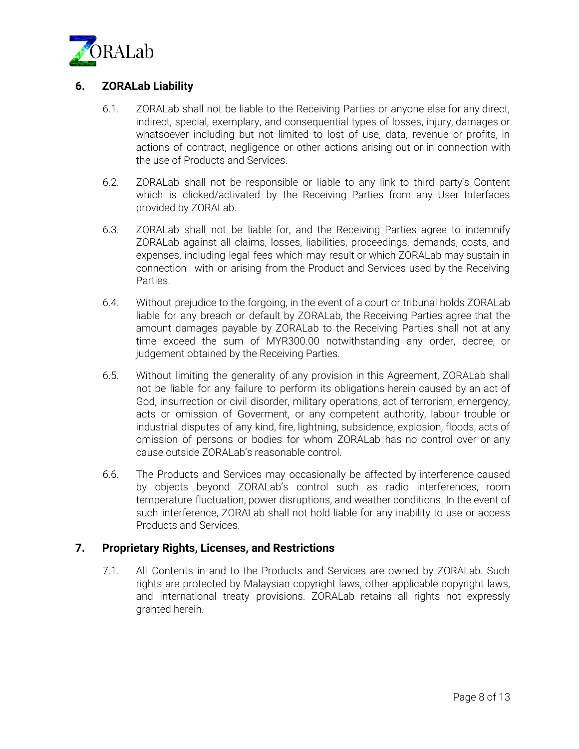

# **6. ZORALab Liability**

- 6.1. ZORALab shall not be liable to the Receiving Parties or anyone else for any direct, indirect, special, exemplary, and consequential types of losses, injury, damages or whatsoever including but not limited to lost of use, data, revenue or profits, in actions of contract, negligence or other actions arising out or in connection with the use of Products and Services.
- 6.2. ZORALab shall not be responsible or liable to any link to third party's Content which is clicked/activated by the Receiving Parties from any User Interfaces provided by ZORALab.
- 6.3. ZORALab shall not be liable for, and the Receiving Parties agree to indemnify ZORALab against all claims, losses, liabilities, proceedings, demands, costs, and expenses, including legal fees which may result or which ZORALab may sustain in connection with or arising from the Product and Services used by the Receiving Parties.
- 6.4. Without prejudice to the forgoing, in the event of a court or tribunal holds ZORALab liable for any breach or default by ZORALab, the Receiving Parties agree that the amount damages payable by ZORALab to the Receiving Parties shall not at any time exceed the sum of MYR300.00 notwithstanding any order, decree, or judgement obtained by the Receiving Parties.
- 6.5. Without limiting the generality of any provision in this Agreement, ZORALab shall not be liable for any failure to perform its obligations herein caused by an act of God, insurrection or civil disorder, military operations, act of terrorism, emergency, acts or omission of Goverment, or any competent authority, labour trouble or industrial disputes of any kind, fire, lightning, subsidence, explosion, floods, acts of omission of persons or bodies for whom ZORALab has no control over or any cause outside ZORALab's reasonable control.
- 6.6. The Products and Services may occasionally be affected by interference caused by objects beyond ZORALab's control such as radio interferences, room temperature fluctuation, power disruptions, and weather conditions. In the event of such interference, ZORALab shall not hold liable for any inability to use or access Products and Services.

# **7. Proprietary Rights, Licenses, and Restrictions**

7.1. All Contents in and to the Products and Services are owned by ZORALab. Such rights are protected by Malaysian copyright laws, other applicable copyright laws, and international treaty provisions. ZORALab retains all rights not expressly granted herein.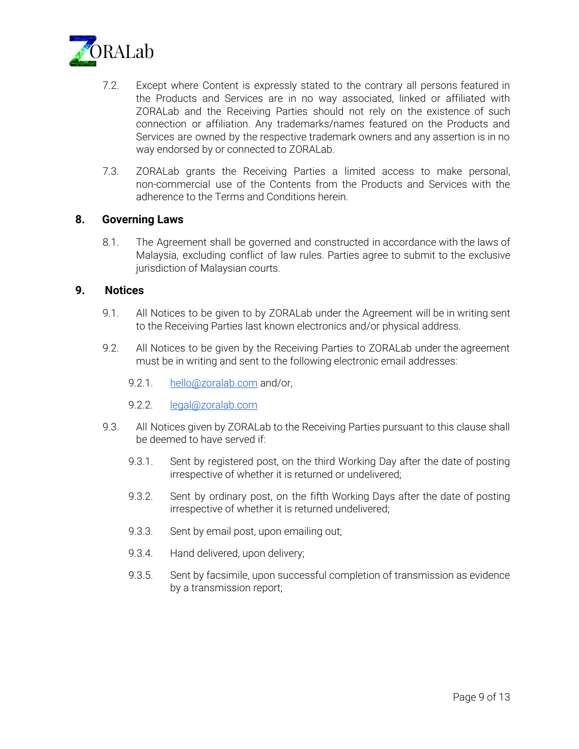

- 7.2. Except where Content is expressly stated to the contrary all persons featured in the Products and Services are in no way associated, linked or affiliated with ZORALab and the Receiving Parties should not rely on the existence of such connection or affiliation. Any trademarks/names featured on the Products and Services are owned by the respective trademark owners and any assertion is in no way endorsed by or connected to ZORALab.
- 7.3. ZORALab grants the Receiving Parties a limited access to make personal, non-commercial use of the Contents from the Products and Services with the adherence to the Terms and Conditions herein.

## **8. Governing Laws**

8.1. The Agreement shall be governed and constructed in accordance with the laws of Malaysia, excluding conflict of law rules. Parties agree to submit to the exclusive jurisdiction of Malaysian courts.

#### **9. Notices**

- 9.1. All Notices to be given to by ZORALab under the Agreement will be in writing sent to the Receiving Parties last known electronics and/or physical address.
- 9.2. All Notices to be given by the Receiving Parties to ZORALab under the agreement must be in writing and sent to the following electronic email addresses:
	- 9.2.1. [hello@zoralab.com](mailto:hello@zoralab.com) and/or,
	- 9.2.2. [legal@zoralab.com](mailto:legal@zoralab.com)
- 9.3. All Notices given by ZORALab to the Receiving Parties pursuant to this clause shall be deemed to have served if:
	- 9.3.1. Sent by registered post, on the third Working Day after the date of posting irrespective of whether it is returned or undelivered;
	- 9.3.2. Sent by ordinary post, on the fifth Working Days after the date of posting irrespective of whether it is returned undelivered;
	- 9.3.3. Sent by email post, upon emailing out;
	- 9.3.4. Hand delivered, upon delivery;
	- 9.3.5. Sent by facsimile, upon successful completion of transmission as evidence by a transmission report;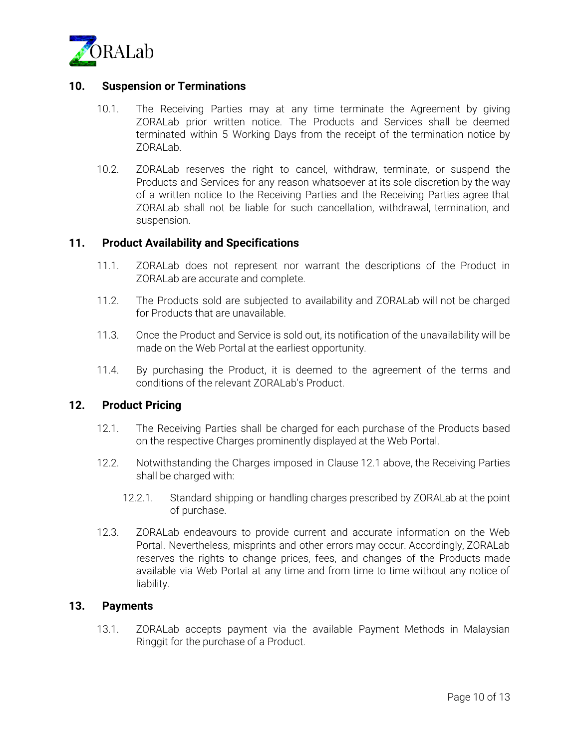

## **10. Suspension or Terminations**

- 10.1. The Receiving Parties may at any time terminate the Agreement by giving ZORALab prior written notice. The Products and Services shall be deemed terminated within 5 Working Days from the receipt of the termination notice by ZORALab.
- 10.2. ZORALab reserves the right to cancel, withdraw, terminate, or suspend the Products and Services for any reason whatsoever at its sole discretion by the way of a written notice to the Receiving Parties and the Receiving Parties agree that ZORALab shall not be liable for such cancellation, withdrawal, termination, and suspension.

#### **11. Product Availability and Specifications**

- 11.1. ZORALab does not represent nor warrant the descriptions of the Product in ZORALab are accurate and complete.
- 11.2. The Products sold are subjected to availability and ZORALab will not be charged for Products that are unavailable.
- 11.3. Once the Product and Service is sold out, its notification of the unavailability will be made on the Web Portal at the earliest opportunity.
- 11.4. By purchasing the Product, it is deemed to the agreement of the terms and conditions of the relevant ZORALab's Product.

## **12. Product Pricing**

- 12.1. The Receiving Parties shall be charged for each purchase of the Products based on the respective Charges prominently displayed at the Web Portal.
- 12.2. Notwithstanding the Charges imposed in Clause 12.1 above, the Receiving Parties shall be charged with:
	- 12.2.1. Standard shipping or handling charges prescribed by ZORALab at the point of purchase.
- 12.3. ZORALab endeavours to provide current and accurate information on the Web Portal. Nevertheless, misprints and other errors may occur. Accordingly, ZORALab reserves the rights to change prices, fees, and changes of the Products made available via Web Portal at any time and from time to time without any notice of liability.

## **13. Payments**

13.1. ZORALab accepts payment via the available Payment Methods in Malaysian Ringgit for the purchase of a Product.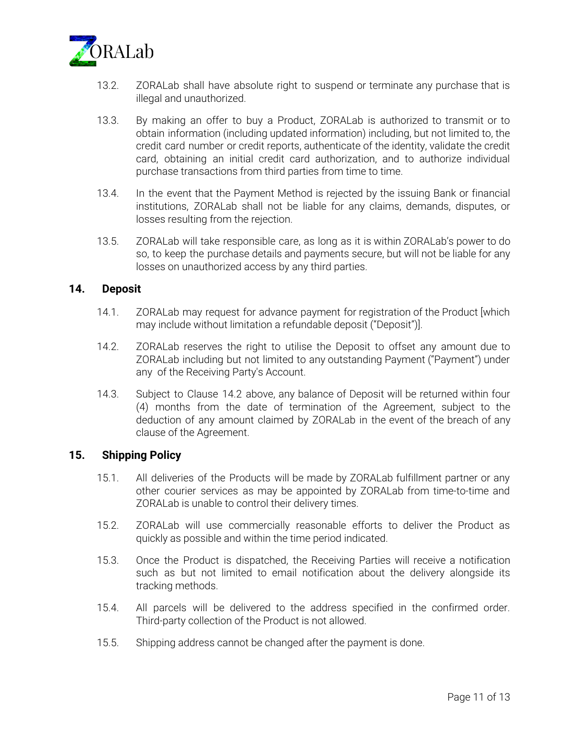

- 13.2. ZORALab shall have absolute right to suspend or terminate any purchase that is illegal and unauthorized.
- 13.3. By making an offer to buy a Product, ZORALab is authorized to transmit or to obtain information (including updated information) including, but not limited to, the credit card number or credit reports, authenticate of the identity, validate the credit card, obtaining an initial credit card authorization, and to authorize individual purchase transactions from third parties from time to time.
- 13.4. In the event that the Payment Method is rejected by the issuing Bank or financial institutions, ZORALab shall not be liable for any claims, demands, disputes, or losses resulting from the rejection.
- 13.5. ZORALab will take responsible care, as long as it is within ZORALab's power to do so, to keep the purchase details and payments secure, but will not be liable for any losses on unauthorized access by any third parties.

## **14. Deposit**

- 14.1. ZORALab may request for advance payment for registration of the Product [which may include without limitation a refundable deposit ("Deposit")].
- 14.2. ZORALab reserves the right to utilise the Deposit to offset any amount due to ZORALab including but not limited to any outstanding Payment ("Payment") under any of the Receiving Party's Account.
- 14.3. Subject to Clause 14.2 above, any balance of Deposit will be returned within four (4) months from the date of termination of the Agreement, subject to the deduction of any amount claimed by ZORALab in the event of the breach of any clause of the Agreement.

## **15. Shipping Policy**

- 15.1. All deliveries of the Products will be made by ZORALab fulfillment partner or any other courier services as may be appointed by ZORALab from time-to-time and ZORALab is unable to control their delivery times.
- 15.2. ZORALab will use commercially reasonable efforts to deliver the Product as quickly as possible and within the time period indicated.
- 15.3. Once the Product is dispatched, the Receiving Parties will receive a notification such as but not limited to email notification about the delivery alongside its tracking methods.
- 15.4. All parcels will be delivered to the address specified in the confirmed order. Third-party collection of the Product is not allowed.
- 15.5. Shipping address cannot be changed after the payment is done.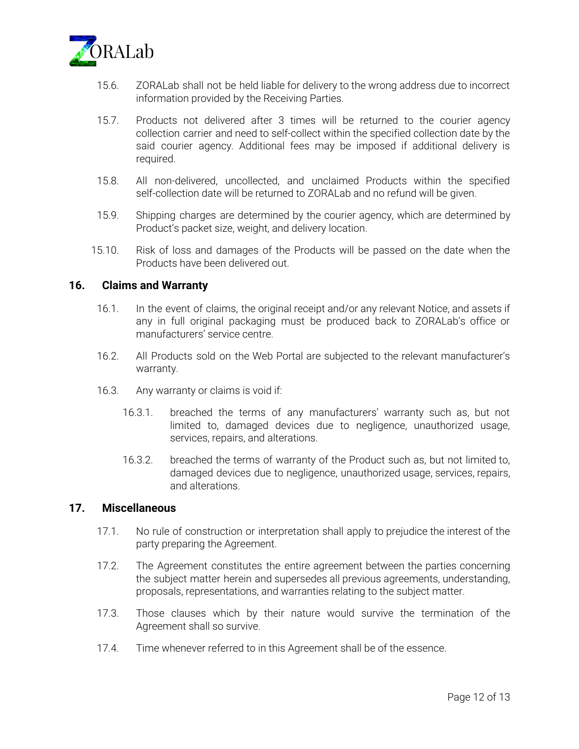

- 15.6. ZORALab shall not be held liable for delivery to the wrong address due to incorrect information provided by the Receiving Parties.
- 15.7. Products not delivered after 3 times will be returned to the courier agency collection carrier and need to self-collect within the specified collection date by the said courier agency. Additional fees may be imposed if additional delivery is required.
- 15.8. All non-delivered, uncollected, and unclaimed Products within the specified self-collection date will be returned to ZORALab and no refund will be given.
- 15.9. Shipping charges are determined by the courier agency, which are determined by Product's packet size, weight, and delivery location.
- 15.10. Risk of loss and damages of the Products will be passed on the date when the Products have been delivered out.

#### **16. Claims and Warranty**

- 16.1. In the event of claims, the original receipt and/or any relevant Notice, and assets if any in full original packaging must be produced back to ZORALab's office or manufacturers' service centre.
- 16.2. All Products sold on the Web Portal are subjected to the relevant manufacturer's warranty.
- 16.3. Any warranty or claims is void if:
	- 16.3.1. breached the terms of any manufacturers' warranty such as, but not limited to, damaged devices due to negligence, unauthorized usage, services, repairs, and alterations.
	- 16.3.2. breached the terms of warranty of the Product such as, but not limited to, damaged devices due to negligence, unauthorized usage, services, repairs, and alterations.

#### **17. Miscellaneous**

- 17.1. No rule of construction or interpretation shall apply to prejudice the interest of the party preparing the Agreement.
- 17.2. The Agreement constitutes the entire agreement between the parties concerning the subject matter herein and supersedes all previous agreements, understanding, proposals, representations, and warranties relating to the subject matter.
- 17.3. Those clauses which by their nature would survive the termination of the Agreement shall so survive.
- 17.4. Time whenever referred to in this Agreement shall be of the essence.